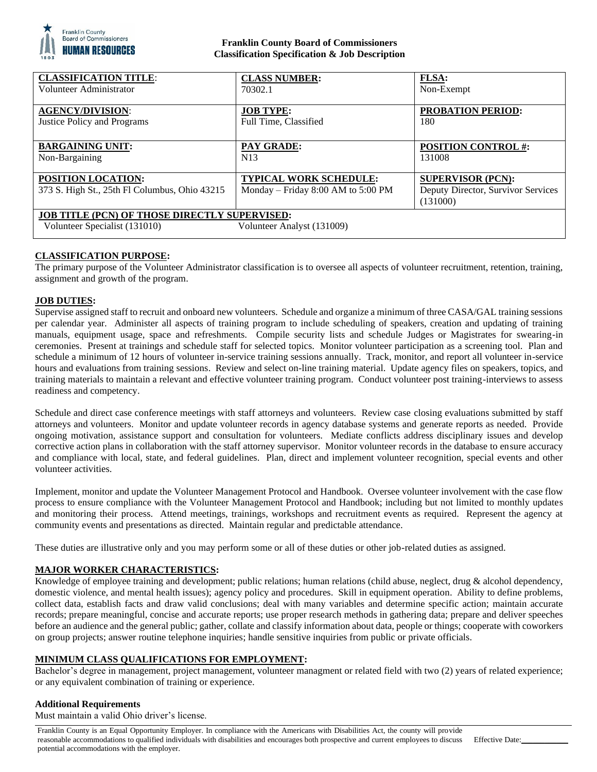

# **Franklin County Board of Commissioners Classification Specification & Job Description**

| <b>CLASSIFICATION TITLE:</b>                         | <b>CLASS NUMBER:</b>               | <b>FLSA:</b>                       |
|------------------------------------------------------|------------------------------------|------------------------------------|
| Volunteer Administrator                              | 70302.1                            | Non-Exempt                         |
|                                                      |                                    |                                    |
| <b>AGENCY/DIVISION:</b>                              | <b>JOB TYPE:</b>                   | <b>PROBATION PERIOD:</b>           |
| <b>Justice Policy and Programs</b>                   | Full Time, Classified              | 180                                |
|                                                      |                                    |                                    |
| <b>BARGAINING UNIT:</b>                              | PAY GRADE:                         | <b>POSITION CONTROL #:</b>         |
| Non-Bargaining                                       | N13                                | 131008                             |
|                                                      |                                    |                                    |
| POSITION LOCATION:                                   | <b>TYPICAL WORK SCHEDULE:</b>      | <b>SUPERVISOR (PCN):</b>           |
| 373 S. High St., 25th Fl Columbus, Ohio 43215        | Monday – Friday 8:00 AM to 5:00 PM | Deputy Director, Survivor Services |
|                                                      |                                    | (131000)                           |
| <b>JOB TITLE (PCN) OF THOSE DIRECTLY SUPERVISED:</b> |                                    |                                    |
| Volunteer Specialist (131010)                        | Volunteer Analyst (131009)         |                                    |
|                                                      |                                    |                                    |

# **CLASSIFICATION PURPOSE:**

The primary purpose of the Volunteer Administrator classification is to oversee all aspects of volunteer recruitment, retention, training, assignment and growth of the program.

#### **JOB DUTIES:**

Supervise assigned staff to recruit and onboard new volunteers. Schedule and organize a minimum of three CASA/GAL training sessions per calendar year. Administer all aspects of training program to include scheduling of speakers, creation and updating of training manuals, equipment usage, space and refreshments. Compile security lists and schedule Judges or Magistrates for swearing-in ceremonies. Present at trainings and schedule staff for selected topics. Monitor volunteer participation as a screening tool. Plan and schedule a minimum of 12 hours of volunteer in-service training sessions annually. Track, monitor, and report all volunteer in-service hours and evaluations from training sessions. Review and select on-line training material. Update agency files on speakers, topics, and training materials to maintain a relevant and effective volunteer training program. Conduct volunteer post training-interviews to assess readiness and competency.

Schedule and direct case conference meetings with staff attorneys and volunteers. Review case closing evaluations submitted by staff attorneys and volunteers. Monitor and update volunteer records in agency database systems and generate reports as needed. Provide ongoing motivation, assistance support and consultation for volunteers. Mediate conflicts address disciplinary issues and develop corrective action plans in collaboration with the staff attorney supervisor. Monitor volunteer records in the database to ensure accuracy and compliance with local, state, and federal guidelines. Plan, direct and implement volunteer recognition, special events and other volunteer activities.

Implement, monitor and update the Volunteer Management Protocol and Handbook. Oversee volunteer involvement with the case flow process to ensure compliance with the Volunteer Management Protocol and Handbook; including but not limited to monthly updates and monitoring their process. Attend meetings, trainings, workshops and recruitment events as required. Represent the agency at community events and presentations as directed. Maintain regular and predictable attendance.

These duties are illustrative only and you may perform some or all of these duties or other job-related duties as assigned.

#### **MAJOR WORKER CHARACTERISTICS:**

Knowledge of employee training and development; public relations; human relations (child abuse, neglect, drug & alcohol dependency, domestic violence, and mental health issues); agency policy and procedures. Skill in equipment operation. Ability to define problems, collect data, establish facts and draw valid conclusions; deal with many variables and determine specific action; maintain accurate records; prepare meaningful, concise and accurate reports; use proper research methods in gathering data; prepare and deliver speeches before an audience and the general public; gather, collate and classify information about data, people or things; cooperate with coworkers on group projects; answer routine telephone inquiries; handle sensitive inquiries from public or private officials.

# **MINIMUM CLASS QUALIFICATIONS FOR EMPLOYMENT:**

Bachelor's degree in management, project management, volunteer managment or related field with two (2) years of related experience; or any equivalent combination of training or experience.

# **Additional Requirements**

Must maintain a valid Ohio driver's license.